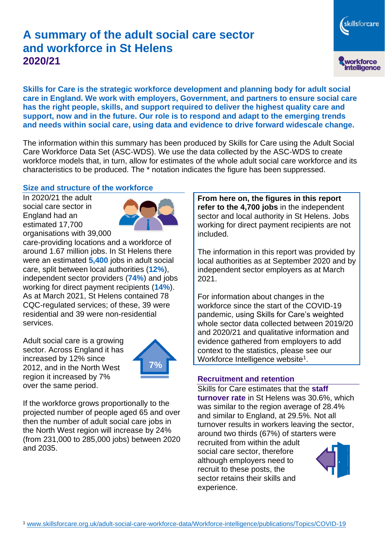# **A summary of the adult social care sector and workforce in St Helens 2020/21**

workforce<br>intelligence **Skills for Care is the strategic workforce development and planning body for adult social** 

skillsforcare

**care in England. We work with employers, Government, and partners to ensure social care has the right people, skills, and support required to deliver the highest quality care and support, now and in the future. Our role is to respond and adapt to the emerging trends and needs within social care, using data and evidence to drive forward widescale change.**

The information within this summary has been produced by Skills for Care using the Adult Social Care Workforce Data Set (ASC-WDS). We use the data collected by the ASC-WDS to create workforce models that, in turn, allow for estimates of the whole adult social care workforce and its characteristics to be produced. The \* notation indicates the figure has been suppressed.

### **Size and structure of the workforce**

In 2020/21 the adult social care sector in England had an estimated 17,700 organisations with 39,000



care-providing locations and a workforce of around 1.67 million jobs. In St Helens there were an estimated **5,400** jobs in adult social care, split between local authorities (**12%**), independent sector providers (**74%**) and jobs working for direct payment recipients (**14%**). As at March 2021, St Helens contained 78 CQC-regulated services; of these, 39 were residential and 39 were non-residential services.

Adult social care is a growing sector. Across England it has increased by 12% since 2012, and in the North West region it increased by 7% over the same period.



If the workforce grows proportionally to the projected number of people aged 65 and over then the number of adult social care jobs in the North West region will increase by 24% (from 231,000 to 285,000 jobs) between 2020 and 2035.

**From here on, the figures in this report refer to the 4,700 jobs** in the independent sector and local authority in St Helens. Jobs working for direct payment recipients are not included.

The information in this report was provided by local authorities as at September 2020 and by independent sector employers as at March 2021.

For information about changes in the workforce since the start of the COVID-19 pandemic, using Skills for Care's weighted whole sector data collected between 2019/20 and 2020/21 and qualitative information and evidence gathered from employers to add context to the statistics, please see our Workforce Intelligence website<sup>1</sup>.

#### **Recruitment and retention**

Skills for Care estimates that the **staff turnover rate** in St Helens was 30.6%, which was similar to the region average of 28.4% and similar to England, at 29.5%. Not all turnover results in workers leaving the sector, around two thirds (67%) of starters were recruited from within the adult social care sector, therefore although employers need to recruit to these posts, the sector retains their skills and experience.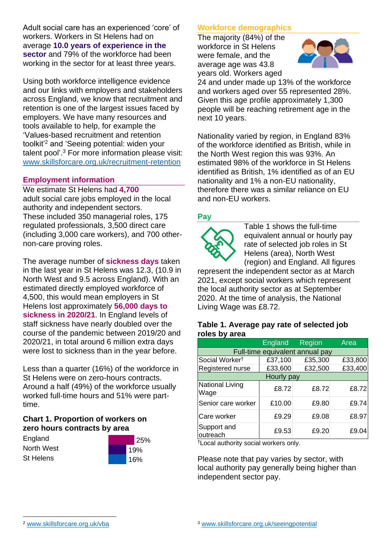Adult social care has an experienced 'core' of workers. Workers in St Helens had on average **10.0 years of experience in the sector** and 79% of the workforce had been working in the sector for at least three years.

Using both workforce intelligence evidence and our links with employers and stakeholders across England, we know that recruitment and retention is one of the largest issues faced by employers. We have many resources and tools available to help, for example the 'Values-based recruitment and retention toolkit'<sup>2</sup> and 'Seeing potential: widen your talent pool'. <sup>3</sup> For more information please visit: [www.skillsforcare.org.uk/recruitment-retention](http://www.skillsforcare.org.uk/recruitment-retention)

#### **Employment information**

We estimate St Helens had **4,700** adult social care jobs employed in the local authority and independent sectors. These included 350 managerial roles, 175 regulated professionals, 3,500 direct care (including 3,000 care workers), and 700 othernon-care proving roles.

The average number of **sickness days** taken in the last year in St Helens was 12.3, (10.9 in North West and 9.5 across England). With an estimated directly employed workforce of 4,500, this would mean employers in St Helens lost approximately **56,000 days to sickness in 2020/21**. In England levels of staff sickness have nearly doubled over the course of the pandemic between 2019/20 and 2020/21, in total around 6 million extra days were lost to sickness than in the year before.

Less than a quarter (16%) of the workforce in St Helens were on zero-hours contracts. Around a half (49%) of the workforce usually worked full-time hours and 51% were parttime.

### **Chart 1. Proportion of workers on zero hours contracts by area**

**England** North West St Helens



### **Workforce demographics**

The majority (84%) of the workforce in St Helens were female, and the average age was 43.8 years old. Workers aged



24 and under made up 13% of the workforce and workers aged over 55 represented 28%. Given this age profile approximately 1,300 people will be reaching retirement age in the next 10 years.

Nationality varied by region, in England 83% of the workforce identified as British, while in the North West region this was 93%. An estimated 98% of the workforce in St Helens identified as British, 1% identified as of an EU nationality and 1% a non-EU nationality, therefore there was a similar reliance on EU and non-EU workers.

### **Pay**



Table 1 shows the full-time equivalent annual or hourly pay rate of selected job roles in St Helens (area), North West (region) and England. All figures

represent the independent sector as at March 2021, except social workers which represent the local authority sector as at September 2020. At the time of analysis, the National Living Wage was £8.72.

#### **Table 1. Average pay rate of selected job roles by area**

|                                 | <b>England</b> | Region  | Area    |
|---------------------------------|----------------|---------|---------|
| Full-time equivalent annual pay |                |         |         |
| Social Worker <sup>t</sup>      | £37,100        | £35,300 | £33,800 |
| Registered nurse                | £33,600        | £32,500 | £33,400 |
| Hourly pay                      |                |         |         |
| National Living<br>Wage         | £8.72          | £8.72   | £8.72   |
| Senior care worker              | £10.00         | £9.80   | £9.74   |
| Care worker                     | £9.29          | £9.08   | £8.97   |
| Support and<br>outreach         | £9.53          | £9.20   | £9.04   |

†Local authority social workers only.

Please note that pay varies by sector, with local authority pay generally being higher than independent sector pay.

[www.skillsforcare.org.uk/vba](http://www.skillsforcare.org.uk/vba)